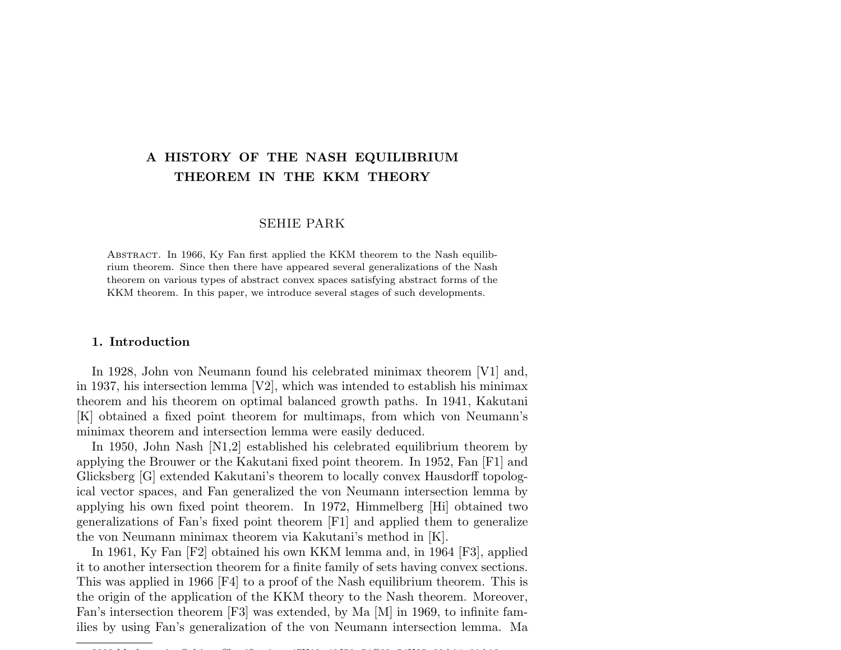# A HISTORY OF THE NASH EQUILIBRIUM THEOREM IN THE KKM THEORY

## SEHIE PARK

Abstract. In 1966, Ky Fan first applied the KKM theorem to the Nash equilibrium theorem. Since then there have appeared several generalizations of the Nash theorem on various types of abstract convex spaces satisfying abstract forms of the KKM theorem. In this paper, we introduce several stages of such developments.

# 1. Introduction

In 1928, John von Neumann found his celebrated minimax theorem [V1] and, in 1937, his intersection lemma  $[V2]$ , which was intended to establish his minimax theorem and his theorem on optimal balanced growth paths. In 1941, Kakutani [K] obtained a fixed point theorem for multimaps, from which von Neumann's minimax theorem and intersection lemma were easily deduced.

In 1950, John Nash [N1,2] established his celebrated equilibrium theorem by applying the Brouwer or the Kakutani fixed point theorem. In 1952, Fan [F1] and Glicksberg [G] extended Kakutani's theorem to locally convex Hausdorff topological vector spaces, and Fan generalized the von Neumann intersection lemma by applying his own fixed point theorem. In 1972, Himmelberg [Hi] obtained two generalizations of Fan's fixed point theorem [F1] and applied them to generalize the von Neumann minimax theorem via Kakutani's method in [K].

In 1961, Ky Fan [F2] obtained his own KKM lemma and, in 1964 [F3], applied it to another intersection theorem for a finite family of sets having convex sections. This was applied in 1966 [F4] to a proof of the Nash equilibrium theorem. This is the origin of the application of the KKM theory to the Nash theorem. Moreover, Fan's intersection theorem [F3] was extended, by Ma [M] in 1969, to infinite families by using Fan's generalization of the von Neumann intersection lemma. Ma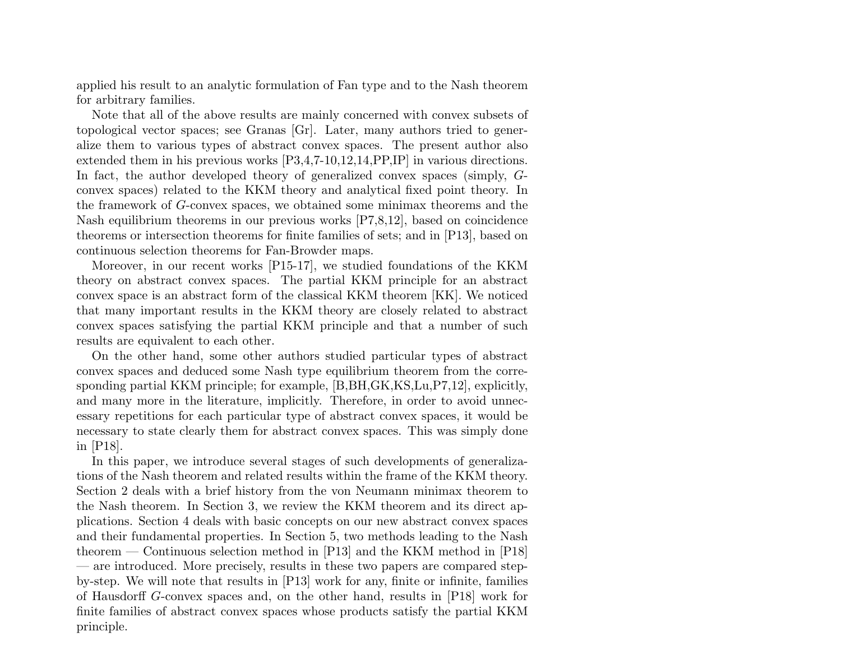applied his result to an analytic formulation of Fan type and to the Nash theorem for arbitrary families.

Note that all of the above results are mainly concerned with convex subsets of topological vector spaces; see Granas [Gr]. Later, many authors tried to generalize them to various types of abstract convex spaces. The present author also extended them in his previous works [P3,4,7-10,12,14,PP,IP] in various directions. In fact, the author developed theory of generalized convex spaces (simply, Gconvex spaces) related to the KKM theory and analytical fixed point theory. In the framework of G-convex spaces, we obtained some minimax theorems and the Nash equilibrium theorems in our previous works [P7,8,12], based on coincidence theorems or intersection theorems for finite families of sets; and in [P13], based on continuous selection theorems for Fan-Browder maps.

Moreover, in our recent works [P15-17], we studied foundations of the KKM theory on abstract convex spaces. The partial KKM principle for an abstract convex space is an abstract form of the classical KKM theorem [KK]. We noticed that many important results in the KKM theory are closely related to abstract convex spaces satisfying the partial KKM principle and that a number of such results are equivalent to each other.

On the other hand, some other authors studied particular types of abstract convex spaces and deduced some Nash type equilibrium theorem from the corresponding partial KKM principle; for example, [B,BH,GK,KS,Lu,P7,12], explicitly, and many more in the literature, implicitly. Therefore, in order to avoid unnecessary repetitions for each particular type of abstract convex spaces, it would be necessary to state clearly them for abstract convex spaces. This was simply done in [P18].

In this paper, we introduce several stages of such developments of generalizations of the Nash theorem and related results within the frame of the KKM theory. Section 2 deals with a brief history from the von Neumann minimax theorem to the Nash theorem. In Section 3, we review the KKM theorem and its direct applications. Section 4 deals with basic concepts on our new abstract convex spaces and their fundamental properties. In Section 5, two methods leading to the Nash theorem — Continuous selection method in [P13] and the KKM method in [P18] — are introduced. More precisely, results in these two papers are compared stepby-step. We will note that results in [P13] work for any, finite or infinite, families of Hausdorff G-convex spaces and, on the other hand, results in [P18] work for finite families of abstract convex spaces whose products satisfy the partial KKM principle.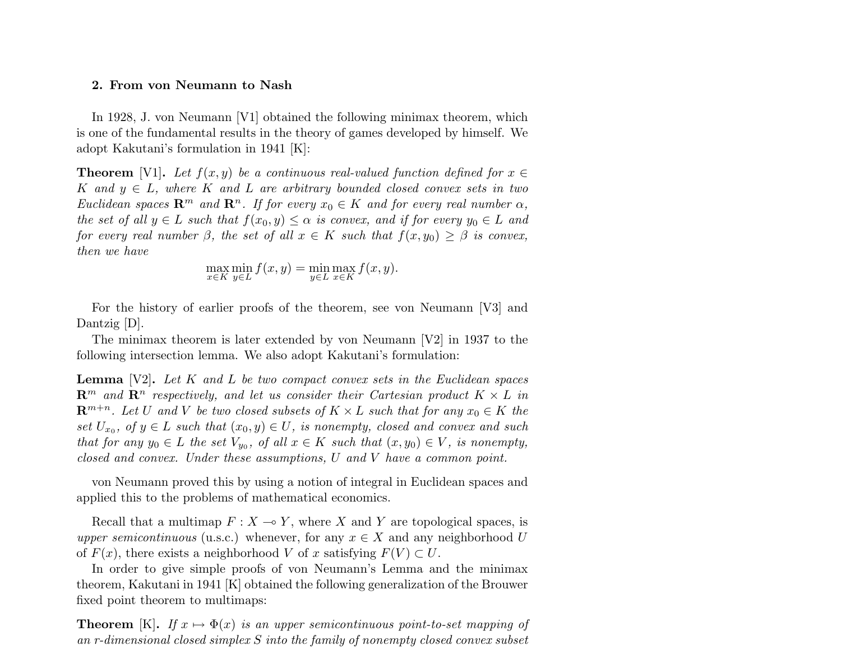### 2. From von Neumann to Nash

In 1928, J. von Neumann [V1] obtained the following minimax theorem, which is one of the fundamental results in the theory of games developed by himself. We adopt Kakutani's formulation in 1941 [K]:

**Theorem** [V1]. Let  $f(x, y)$  be a continuous real-valued function defined for  $x \in$ K and  $y \in L$ , where K and L are arbitrary bounded closed convex sets in two Euclidean spaces  $\mathbb{R}^m$  and  $\mathbb{R}^n$ . If for every  $x_0 \in K$  and for every real number  $\alpha$ , the set of all  $y \in L$  such that  $f(x_0, y) \leq \alpha$  is convex, and if for every  $y_0 \in L$  and for every real number  $\beta$ , the set of all  $x \in K$  such that  $f(x, y_0) \geq \beta$  is convex, then we have

$$
\max_{x \in K} \min_{y \in L} f(x, y) = \min_{y \in L} \max_{x \in K} f(x, y).
$$

For the history of earlier proofs of the theorem, see von Neumann [V3] and Dantzig [D].

The minimax theorem is later extended by von Neumann  $[V2]$  in 1937 to the following intersection lemma. We also adopt Kakutani's formulation:

**Lemma** [V2]. Let  $K$  and  $L$  be two compact convex sets in the Euclidean spaces  $\mathbb{R}^m$  and  $\mathbb{R}^n$  respectively, and let us consider their Cartesian product  $K \times L$  in  $\mathbb{R}^{m+n}$ . Let U and V be two closed subsets of  $K \times L$  such that for any  $x_0 \in K$  the set  $U_{x_0}$ , of  $y \in L$  such that  $(x_0, y) \in U$ , is nonempty, closed and convex and such that for any  $y_0 \in L$  the set  $V_{y_0}$ , of all  $x \in K$  such that  $(x, y_0) \in V$ , is nonempty, closed and convex. Under these assumptions, U and V have a common point.

von Neumann proved this by using a notion of integral in Euclidean spaces and applied this to the problems of mathematical economics.

Recall that a multimap  $F : X \to Y$ , where X and Y are topological spaces, is upper semicontinuous (u.s.c.) whenever, for any  $x \in X$  and any neighborhood U of  $F(x)$ , there exists a neighborhood V of x satisfying  $F(V) \subset U$ .

In order to give simple proofs of von Neumann's Lemma and the minimax theorem, Kakutani in 1941 [K] obtained the following generalization of the Brouwer fixed point theorem to multimaps:

**Theorem** [K]. If  $x \mapsto \Phi(x)$  is an upper semicontinuous point-to-set mapping of an r-dimensional closed simplex S into the family of nonempty closed convex subset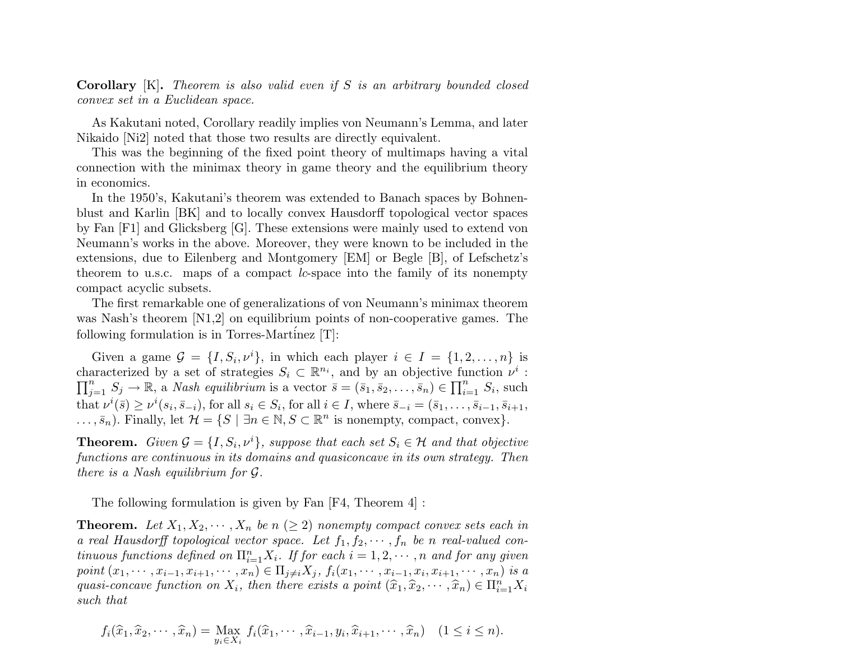Corollary [K]. Theorem is also valid even if S is an arbitrary bounded closed convex set in a Euclidean space.

As Kakutani noted, Corollary readily implies von Neumann's Lemma, and later Nikaido [Ni2] noted that those two results are directly equivalent.

This was the beginning of the fixed point theory of multimaps having a vital connection with the minimax theory in game theory and the equilibrium theory in economics.

In the 1950's, Kakutani's theorem was extended to Banach spaces by Bohnenblust and Karlin [BK] and to locally convex Hausdorff topological vector spaces by Fan [F1] and Glicksberg [G]. These extensions were mainly used to extend von Neumann's works in the above. Moreover, they were known to be included in the extensions, due to Eilenberg and Montgomery [EM] or Begle [B], of Lefschetz's theorem to u.s.c. maps of a compact lc-space into the family of its nonempty compact acyclic subsets.

The first remarkable one of generalizations of von Neumann's minimax theorem was Nash's theorem [N1,2] on equilibrium points of non-cooperative games. The following formulation is in Torres-Martinez  $[T]$ :

Given a game  $\mathcal{G} = \{I, S_i, \nu^i\}$ , in which each player  $i \in I = \{1, 2, ..., n\}$  is characterized by a set of strategies  $S_i \subset \mathbb{R}^{n_i}$ , and by an objective function  $\nu^i$ :<br> $\Box^n$   $S \rightarrow \mathbb{R}^{n_i}$  and  $\Box^n$  and  $\Box^n$  and  $\Box^n$  and  $\Box^n$  and  $\Box^n$  and  $\Box^n$  and  $\Box^n$  and  $\Box^n$  and  $\Box^n$  and  $\Box^n$  and  $\Box$  $j=1}^n S_j \to \mathbb{R}$ , a *Nash equilibrium* is a vector  $\bar{s} = (\bar{s}_1, \bar{s}_2, \dots, \bar{s}_n) \in \prod_{i=1}^n S_i$ , such that  $\nu^{i}(\bar{s}) \geq \nu^{i}(s_{i}, \bar{s}_{-i})$ , for all  $s_{i} \in S_{i}$ , for all  $i \in I$ , where  $\bar{s}_{-i} = (\bar{s}_{1}, \ldots, \bar{s}_{i-1}, \bar{s}_{i+1}, \bar{s}_{i+1})$  $\dots, \bar{s}_n$ . Finally, let  $\mathcal{H} = \{ S \mid \exists n \in \mathbb{N}, S \subset \mathbb{R}^n \text{ is nonempty, compact, convex} \}.$ 

**Theorem.** Given  $\mathcal{G} = \{I, S_i, \nu^i\}$ , suppose that each set  $S_i \in \mathcal{H}$  and that objective functions are continuous in its domains and quasiconcave in its own strategy. Then there is a Nash equilibrium for G.

The following formulation is given by Fan [F4, Theorem 4] :

**Theorem.** Let  $X_1, X_2, \cdots, X_n$  be  $n \geq 2$  nonempty compact convex sets each in a real Hausdorff topological vector space. Let  $f_1, f_2, \cdots, f_n$  be n real-valued continuous functions defined on  $\prod_{i=1}^n X_i$ . If for each  $i = 1, 2, \cdots, n$  and for any given point  $(x_1, \dots, x_{i-1}, x_{i+1}, \dots, x_n) \in \Pi_{j \neq i} X_j$ ,  $f_i(x_1, \dots, x_{i-1}, x_i, x_{i+1}, \dots, x_n)$  is a quasi-concave function on  $X_i$ , then there exists a point  $(\widehat{x}_1, \widehat{x}_2, \cdots, \widehat{x}_n) \in \Pi_{i=1}^n X_i$ such that

$$
f_i(\widehat{x}_1, \widehat{x}_2, \cdots, \widehat{x}_n) = \max_{y_i \in X_i} f_i(\widehat{x}_1, \cdots, \widehat{x}_{i-1}, y_i, \widehat{x}_{i+1}, \cdots, \widehat{x}_n) \quad (1 \le i \le n).
$$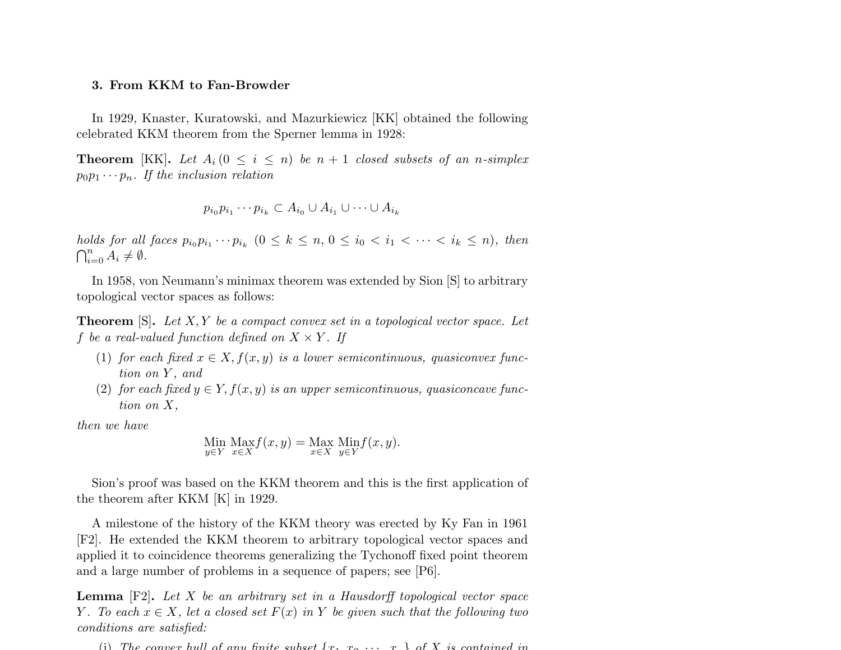#### 3. From KKM to Fan-Browder

In 1929, Knaster, Kuratowski, and Mazurkiewicz [KK] obtained the following celebrated KKM theorem from the Sperner lemma in 1928:

**Theorem** [KK]. Let  $A_i$  ( $0 \le i \le n$ ) be  $n + 1$  closed subsets of an n-simplex  $p_0p_1\cdots p_n$ . If the inclusion relation

$$
p_{i_0}p_{i_1}\cdots p_{i_k}\subset A_{i_0}\cup A_{i_1}\cup\cdots\cup A_{i_k}
$$

holds for all faces  $p_{i_0}p_{i_1}\cdots p_{i_k}$   $(0 \leq k \leq n, 0 \leq i_0 < i_1 < \cdots < i_k \leq n)$ , then  $\bigcap_{i=0}^n A_i \neq \emptyset$ .

In 1958, von Neumann's minimax theorem was extended by Sion [S] to arbitrary topological vector spaces as follows:

**Theorem** [S]. Let  $X, Y$  be a compact convex set in a topological vector space. Let f be a real-valued function defined on  $X \times Y$ . If

- (1) for each fixed  $x \in X$ ,  $f(x, y)$  is a lower semicontinuous, quasiconvex function on Y, and
- (2) for each fixed  $y \in Y$ ,  $f(x, y)$  is an upper semicontinuous, quasiconcave function on X,

then we have

Min 
$$
\underset{y \in Y}{\text{Max}} f(x, y) = \underset{x \in X}{\text{Max}} \underset{y \in Y}{\text{Min}} f(x, y).
$$

Sion's proof was based on the KKM theorem and this is the first application of the theorem after KKM [K] in 1929.

A milestone of the history of the KKM theory was erected by Ky Fan in 1961 [F2]. He extended the KKM theorem to arbitrary topological vector spaces and applied it to coincidence theorems generalizing the Tychonoff fixed point theorem and a large number of problems in a sequence of papers; see [P6].

**Lemma**  $[F2]$ . Let X be an arbitrary set in a Hausdorff topological vector space Y. To each  $x \in X$ , let a closed set  $F(x)$  in Y be given such that the following two conditions are satisfied:

(i) The convex hull of any finite subset  $\{x_1, x_2, \ldots, x_n\}$  of X is contained in . . . .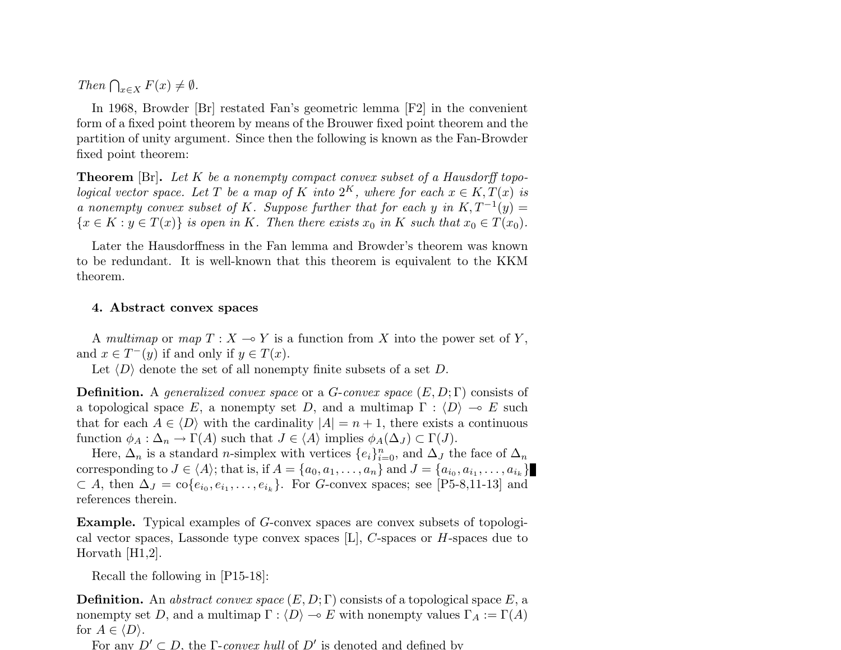Then  $\bigcap_{x\in X} F(x) \neq \emptyset$ .

In 1968, Browder [Br] restated Fan's geometric lemma [F2] in the convenient form of a fixed point theorem by means of the Brouwer fixed point theorem and the partition of unity argument. Since then the following is known as the Fan-Browder fixed point theorem:

**Theorem** [Br]. Let K be a nonempty compact convex subset of a Hausdorff topological vector space. Let T be a map of K into  $2^K$ , where for each  $x \in K$ ,  $T(x)$  is a nonempty convex subset of K. Suppose further that for each y in  $K, T^{-1}(y) =$  ${x \in K : y \in T(x)}$  is open in K. Then there exists  $x_0$  in K such that  $x_0 \in T(x_0)$ .

Later the Hausdorffness in the Fan lemma and Browder's theorem was known to be redundant. It is well-known that this theorem is equivalent to the KKM theorem.

# 4. Abstract convex spaces

A multimap or map  $T : X \to Y$  is a function from X into the power set of Y, and  $x \in T^-(y)$  if and only if  $y \in T(x)$ .

Let  $\langle D \rangle$  denote the set of all nonempty finite subsets of a set D.

**Definition.** A generalized convex space or a G-convex space  $(E, D; \Gamma)$  consists of a topological space E, a nonempty set D, and a multimap  $\Gamma : \langle D \rangle \to E$  such that for each  $A \in \langle D \rangle$  with the cardinality  $|A| = n + 1$ , there exists a continuous function  $\phi_A : \Delta_n \to \Gamma(A)$  such that  $J \in \langle A \rangle$  implies  $\phi_A(\Delta_J) \subset \Gamma(J)$ .

Here,  $\Delta_n$  is a standard *n*-simplex with vertices  $\{e_i\}_{i=0}^n$ , and  $\Delta_J$  the face of  $\Delta_n$ corresponding to  $J \in \langle A \rangle$ ; that is, if  $A = \{a_0, a_1, \ldots, a_n\}$  and  $J = \{a_{i_0}, a_{i_1}, \ldots, a_{i_k}\}\$  $\subset A$ , then  $\Delta_J = \text{co}\{e_{i_0}, e_{i_1}, \ldots, e_{i_k}\}.$  For G-convex spaces; see [P5-8,11-13] and references therein.

Example. Typical examples of G-convex spaces are convex subsets of topological vector spaces, Lassonde type convex spaces [L], C-spaces or H-spaces due to Horvath [H1,2].

Recall the following in [P15-18]:

**Definition.** An abstract convex space  $(E, D; \Gamma)$  consists of a topological space E, a nonempty set D, and a multimap  $\Gamma : \langle D \rangle \to E$  with nonempty values  $\Gamma_A := \Gamma(A)$ for  $A \in \langle D \rangle$ .

For any  $D' \subset D$ , the Γ-convex hull of D' is denoted and defined by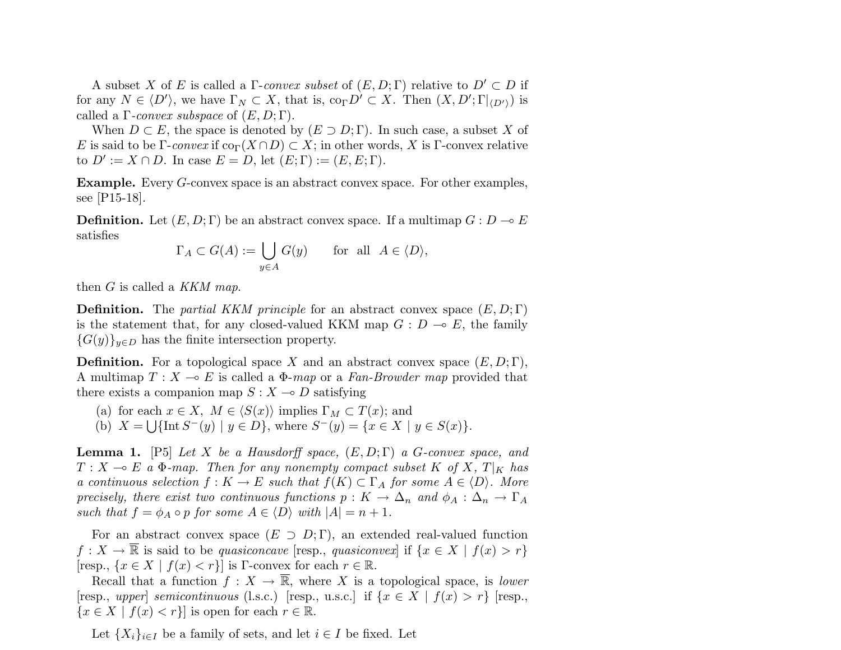A subset X of E is called a Γ-convex subset of  $(E, D; \Gamma)$  relative to  $D' \subset D$  if for any  $N \in \langle D' \rangle$ , we have  $\Gamma_N \subset X$ , that is,  $\text{co}_{\Gamma} D' \subset X$ . Then  $(X, D'; \Gamma |_{\langle D' \rangle})$  is called a  $\Gamma$ -convex subspace of  $(E, D; \Gamma)$ .

When  $D \subset E$ , the space is denoted by  $(E \supset D; \Gamma)$ . In such case, a subset X of E is said to be Γ-convex if  $\text{co}_{\Gamma}(X \cap D) \subset X$ ; in other words, X is Γ-convex relative to  $D' := X \cap D$ . In case  $E = D$ , let  $(E; \Gamma) := (E, E; \Gamma)$ .

Example. Every G-convex space is an abstract convex space. For other examples, see [P15-18].

**Definition.** Let  $(E, D; \Gamma)$  be an abstract convex space. If a multimap  $G: D \to E$ satisfies

$$
\Gamma_A \subset G(A) := \bigcup_{y \in A} G(y)
$$
 for all  $A \in \langle D \rangle$ ,

then  $G$  is called a KKM map.

**Definition.** The partial KKM principle for an abstract convex space  $(E, D; \Gamma)$ is the statement that, for any closed-valued KKM map  $G : D \multimap E$ , the family  ${G(y)}_{y\in D}$  has the finite intersection property.

**Definition.** For a topological space X and an abstract convex space  $(E, D; \Gamma)$ , A multimap  $T : X \multimap E$  is called a  $\Phi$ -map or a Fan-Browder map provided that there exists a companion map  $S: X \rightarrow D$  satisfying

(a) for each  $x \in X$ ,  $M \in \langle S(x) \rangle$  implies  $\Gamma_M \subset T(x)$ ; and (b)  $X = \bigcup \{ \text{Int } S^-(y) \mid y \in D \}$ , where  $S^-(y) = \{ x \in X \mid y \in S(x) \}$ .

**Lemma 1.** [P5] Let X be a Hausdorff space,  $(E, D; \Gamma)$  a G-convex space, and  $T : X \multimap E$  a  $\Phi$ -map. Then for any nonempty compact subset K of X, T|<sub>K</sub> has a continuous selection  $f: K \to E$  such that  $f(K) \subset \Gamma_A$  for some  $A \in \langle D \rangle$ . More precisely, there exist two continuous functions  $p: K \to \Delta_n$  and  $\phi_A: \Delta_n \to \Gamma_A$ such that  $f = \phi_A \circ p$  for some  $A \in \langle D \rangle$  with  $|A| = n + 1$ .

For an abstract convex space  $(E \supset D; \Gamma)$ , an extended real-valued function  $f: X \to \overline{\mathbb{R}}$  is said to be quasiconcave [resp., quasiconvex] if  $\{x \in X \mid f(x) > r\}$ [resp.,  $\{x \in X \mid f(x) < r\}$ ] is Γ-convex for each  $r \in \mathbb{R}$ .

Recall that a function  $f: X \to \overline{\mathbb{R}}$ , where X is a topological space, is lower [resp., upper] semicontinuous (l.s.c.) [resp., u.s.c.] if  $\{x \in X \mid f(x) > r\}$  [resp.,  ${x \in X \mid f(x) < r}$  is open for each  $r \in \mathbb{R}$ .

Let  $\{X_i\}_{i\in I}$  be a family of sets, and let  $i \in I$  be fixed. Let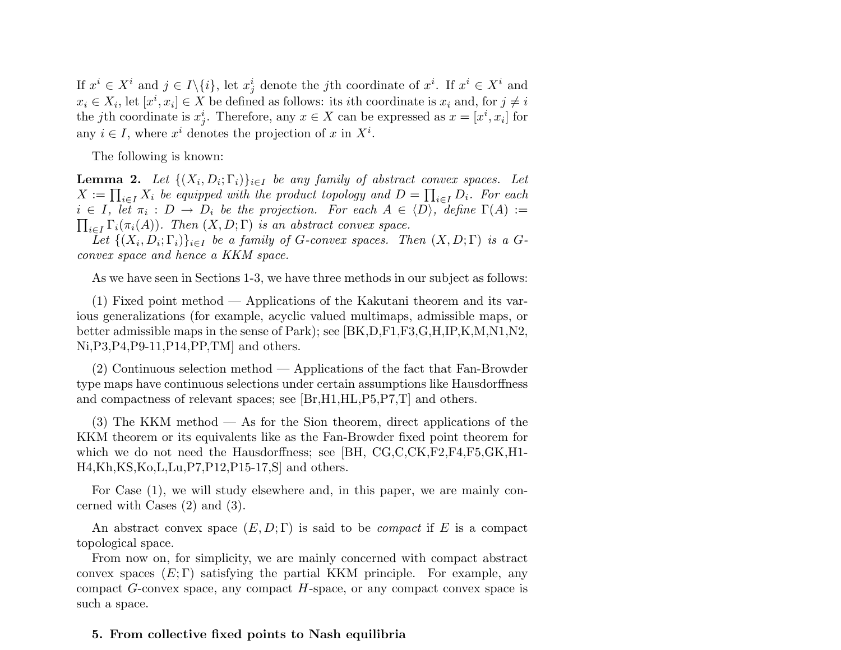If  $x^i \in X^i$  and  $j \in I \setminus \{i\}$ , let  $x^i_j$  denote the *j*th coordinate of  $x^i$ . If  $x^i \in X^i$  and  $x_i \in X_i$ , let  $[x^i, x_i] \in X$  be defined as follows: its *i*th coordinate is  $x_i$  and, for  $j \neq i$ the jth coordinate is  $x_j^i$ . Therefore, any  $x \in X$  can be expressed as  $x = [x^i, x_i]$  for any  $i \in I$ , where  $x^i$  denotes the projection of x in  $X^i$ .

The following is known:

**Lemma 2.** Let  $\{(X_i, D_i; \Gamma_i)\}_{i \in I}$  be any family of abstract convex spaces. Let **Lemma 2.** Let  $\{\{X_i, D_i; 1_i\}\}_{i \in I}$  be any jamuy of abstract convex spaces. Let  $X := \prod_{i \in I} X_i$  be equipped with the product topology and  $D = \prod_{i \in I} D_i$ . For each  $i \in I$ , let  $\pi_i : D \to D_i$  be the projection. For each  $A \in \langle D \rangle$ , define  $\Gamma(A) :=$  $\iota_{i\in I} \Gamma_i(\pi_i(A))$ . Then  $(X, D; \Gamma)$  is an abstract convex space.

Let  $\{(X_i, D_i; \Gamma_i)\}_{i \in I}$  be a family of G-convex spaces. Then  $(X, D; \Gamma)$  is a Gconvex space and hence a KKM space.

As we have seen in Sections 1-3, we have three methods in our subject as follows:

(1) Fixed point method — Applications of the Kakutani theorem and its various generalizations (for example, acyclic valued multimaps, admissible maps, or better admissible maps in the sense of Park); see [BK,D,F1,F3,G,H,IP,K,M,N1,N2, Ni,P3,P4,P9-11,P14,PP,TM] and others.

(2) Continuous selection method — Applications of the fact that Fan-Browder type maps have continuous selections under certain assumptions like Hausdorffness and compactness of relevant spaces; see [Br,H1,HL,P5,P7,T] and others.

(3) The KKM method — As for the Sion theorem, direct applications of the KKM theorem or its equivalents like as the Fan-Browder fixed point theorem for which we do not need the Hausdorffness; see [BH, CG,C,CK,F2,F4,F5,GK,H1-H4,Kh,KS,Ko,L,Lu,P7,P12,P15-17,S] and others.

For Case (1), we will study elsewhere and, in this paper, we are mainly concerned with Cases (2) and (3).

An abstract convex space  $(E, D; \Gamma)$  is said to be *compact* if E is a compact topological space.

From now on, for simplicity, we are mainly concerned with compact abstract convex spaces  $(E; \Gamma)$  satisfying the partial KKM principle. For example, any compact  $G$ -convex space, any compact  $H$ -space, or any compact convex space is such a space.

# 5. From collective fixed points to Nash equilibria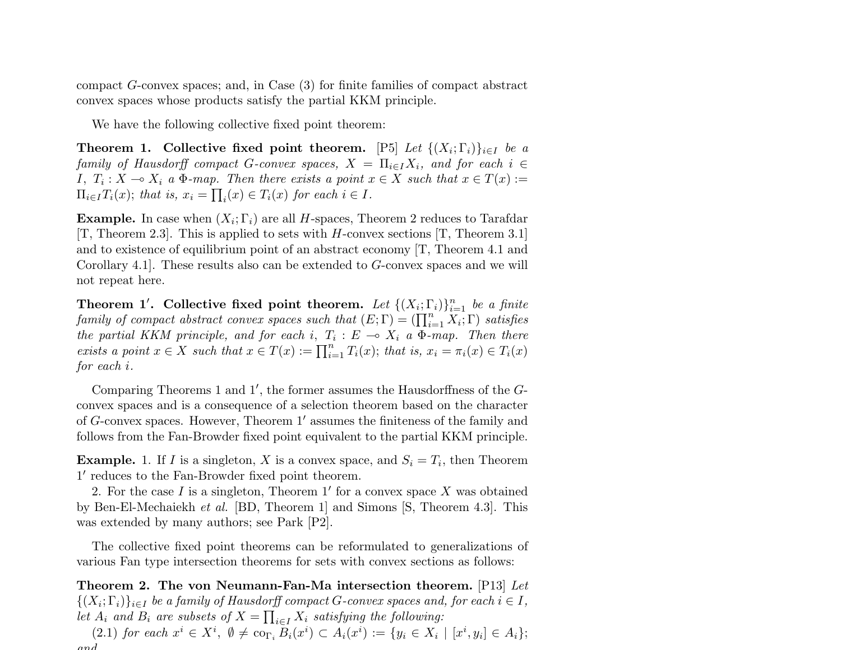compact G-convex spaces; and, in Case (3) for finite families of compact abstract convex spaces whose products satisfy the partial KKM principle.

We have the following collective fixed point theorem:

Theorem 1. Collective fixed point theorem. [P5] Let  $\{(X_i; \Gamma_i)\}_{i \in I}$  be a family of Hausdorff compact G-convex spaces,  $X = \prod_{i \in I} X_i$ , and for each  $i \in$ I,  $T_i: X \to X_i$  a  $\Phi$ -map. Then there exists a point  $x \in X$  such that  $x \in T(x) :=$  $\Pi_{i\in I}T_i(x)$ ; that is,  $x_i = \prod_i(x) \in T_i(x)$  for each  $i \in I$ .

**Example.** In case when  $(X_i; \Gamma_i)$  are all H-spaces, Theorem 2 reduces to Tarafdar [T, Theorem 2.3]. This is applied to sets with H-convex sections [T, Theorem 3.1] and to existence of equilibrium point of an abstract economy [T, Theorem 4.1 and Corollary 4.1]. These results also can be extended to G-convex spaces and we will not repeat here.

Theorem 1'. Collective fixed point theorem. Let  $\{(X_i; \Gamma_i)\}_{i=1}^n$  be a finite **Theorem 1. Conective fixed point theorem.** Let  $\{(\overline{X}_i; \overline{Y}_i)\}_{i=1}$  be a finite family of compact abstract convex spaces such that  $(E; \Gamma) = (\prod_{i=1}^n X_i; \Gamma)$  satisfies the partial KKM principle, and for each i,  $T_i : E \multimap X_i$  a  $\Phi$ -map. Then there exists a point  $x \in X$  such that  $x \in T(x) := \prod_{i=1}^n T_i(x)$ ; that is,  $x_i = \pi_i(x) \in T_i(x)$ for each i.

Comparing Theorems 1 and  $1'$ , the former assumes the Hausdorffness of the  $G$ convex spaces and is a consequence of a selection theorem based on the character of  $G$ -convex spaces. However, Theorem  $1'$  assumes the finiteness of the family and follows from the Fan-Browder fixed point equivalent to the partial KKM principle.

**Example.** 1. If I is a singleton, X is a convex space, and  $S_i = T_i$ , then Theorem 1' reduces to the Fan-Browder fixed point theorem.

2. For the case  $I$  is a singleton, Theorem 1' for a convex space  $X$  was obtained by Ben-El-Mechaiekh et al. [BD, Theorem 1] and Simons [S, Theorem 4.3]. This was extended by many authors; see Park [P2].

The collective fixed point theorems can be reformulated to generalizations of various Fan type intersection theorems for sets with convex sections as follows:

Theorem 2. The von Neumann-Fan-Ma intersection theorem. [P13] Let  $\{(X_i; \Gamma_i)\}_{i \in I}$  be a family of Hausdorff compact G-convex spaces and, for each  $i \in I$ , let  $A_i$  and  $B_i$  are subsets of  $X = \prod_{i \in I} X_i$  satisfying the following:

(2.1) for each  $x^i \in X^i$ ,  $\emptyset \neq \text{co}_{\Gamma_i} B_i(x^i) \subset A_i(x^i) := \{y_i \in X_i \mid [x^i, y_i] \in A_i\};$ and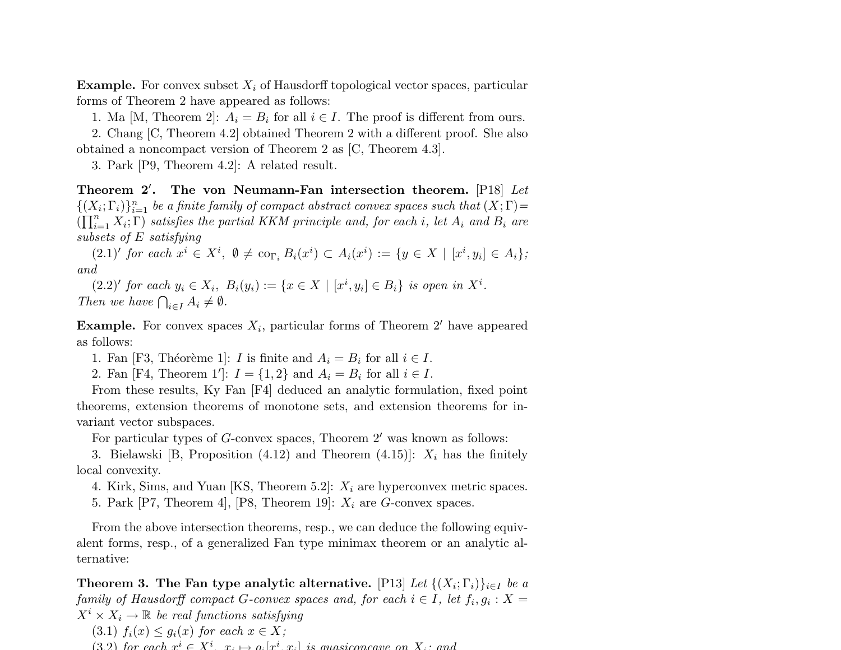**Example.** For convex subset  $X_i$  of Hausdorff topological vector spaces, particular forms of Theorem 2 have appeared as follows:

1. Ma [M, Theorem 2]:  $A_i = B_i$  for all  $i \in I$ . The proof is different from ours.

2. Chang [C, Theorem 4.2] obtained Theorem 2 with a different proof. She also obtained a noncompact version of Theorem 2 as [C, Theorem 4.3].

3. Park [P9, Theorem 4.2]: A related result.

Theorem  $2'$ . The von Neumann-Fan intersection theorem. [P18] Let  $\{(X_i; \Gamma_i)\}_{i=1}^n$  be a finite family of compact abstract convex spaces such that  $(X; \Gamma) =$ <br> $(\Gamma^n \quad X, \Gamma)$  estisfies the partial KKM existing and far sock is let  $A$  and  $B$  are  $\left(\prod_{i=1}^n X_i; \Gamma\right)$  satisfies the partial KKM principle and, for each i, let  $A_i$  and  $B_i$  are subsets of E satisfying

 $(2.1)'$  for each  $x^i \in X^i$ ,  $\emptyset \neq {\rm co}_{\Gamma_i} B_i(x^i) \subset A_i(x^i) := \{y \in X \mid [x^i, y_i] \in A_i\};$ and

 $(2.2)'$  for each  $y_i \in X_i$ ,  $B_i(y_i) := \{x \in X \mid [x^i, y_i] \in B_i\}$  is open in  $X^i$ . (2.2) for each  $y_i \in X_i$ ,<br>Then we have  $\bigcap_{i \in I} A_i \neq \emptyset$ .

**Example.** For convex spaces  $X_i$ , particular forms of Theorem 2' have appeared as follows:

1. Fan [F3, Théorème 1]: *I* is finite and  $A_i = B_i$  for all  $i \in I$ .

2. Fan [F4, Theorem 1']:  $I = \{1, 2\}$  and  $A_i = B_i$  for all  $i \in I$ .

From these results, Ky Fan [F4] deduced an analytic formulation, fixed point theorems, extension theorems of monotone sets, and extension theorems for invariant vector subspaces.

For particular types of  $G$ -convex spaces, Theorem  $2'$  was known as follows:

3. Bielawski [B, Proposition (4.12) and Theorem (4.15)]:  $X_i$  has the finitely local convexity.

4. Kirk, Sims, and Yuan [KS, Theorem 5.2]:  $X_i$  are hyperconvex metric spaces.

5. Park [P7, Theorem 4], [P8, Theorem 19]:  $X_i$  are G-convex spaces.

From the above intersection theorems, resp., we can deduce the following equivalent forms, resp., of a generalized Fan type minimax theorem or an analytic alternative:

Theorem 3. The Fan type analytic alternative.  $[\text{P13}]$  Let  $\{(X_i;\Gamma_i)\}_{i\in I}$  be a family of Hausdorff compact G-convex spaces and, for each  $i \in I$ , let  $f_i, g_i : X =$  $X^i \times X_i \to \mathbb{R}$  be real functions satisfying

- (3.1)  $f_i(x) \leq g_i(x)$  for each  $x \in X$ ;
- (3.2) for each  $r^i \in X^i$ ,  $r \mapsto a^i [r^i, r^j]$  is quasiconcave on  $X$ ; and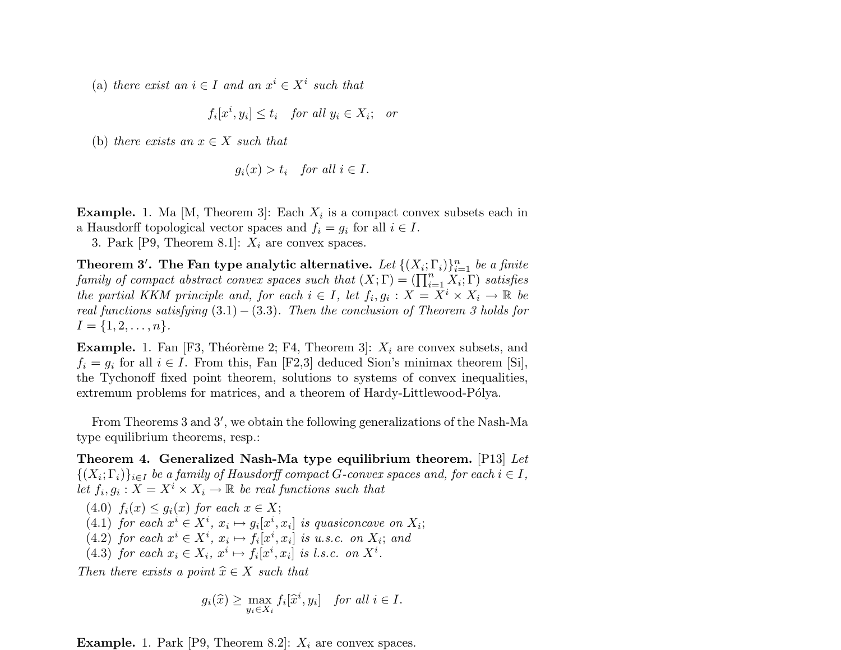(a) there exist an  $i \in I$  and an  $x^i \in X^i$  such that

$$
f_i[x^i, y_i] \le t_i \quad \text{for all } y_i \in X_i; \quad \text{or}
$$

(b) there exists an  $x \in X$  such that

$$
g_i(x) > t_i \quad \text{for all } i \in I.
$$

**Example.** 1. Ma [M, Theorem 3]: Each  $X_i$  is a compact convex subsets each in a Hausdorff topological vector spaces and  $f_i = g_i$  for all  $i \in I$ .

3. Park [P9, Theorem 8.1]:  $X_i$  are convex spaces.

Theorem 3'. The Fan type analytic alternative. Let  $\{(X_i; \Gamma_i)\}_{i=1}^n$  be a finite **Theorem 3.** The Fan type analytic alternative. Let  $\{(X_i; \textbf{I}_i)\}_{i=1}^n$  be a finite family of compact abstract convex spaces such that  $(X; \Gamma) = (\prod_{i=1}^n X_i; \Gamma)$  satisfies the partial KKM principle and, for each  $i \in I$ , let  $f_i, g_i : X = X^i \times X_i \to \mathbb{R}$  be real functions satisfying  $(3.1) - (3.3)$ . Then the conclusion of Theorem 3 holds for  $I = \{1, 2, \ldots, n\}.$ 

**Example.** 1. Fan [F3, Théorème 2; F4, Theorem 3]:  $X_i$  are convex subsets, and  $f_i = g_i$  for all  $i \in I$ . From this, Fan [F2,3] deduced Sion's minimax theorem [Si], the Tychonoff fixed point theorem, solutions to systems of convex inequalities, extremum problems for matrices, and a theorem of Hardy-Littlewood-Pólya.

From Theorems 3 and 3', we obtain the following generalizations of the Nash-Ma type equilibrium theorems, resp.:

Theorem 4. Generalized Nash-Ma type equilibrium theorem. [P13] Let  $\{(X_i; \Gamma_i)\}_{i \in I}$  be a family of Hausdorff compact G-convex spaces and, for each  $i \in I$ , let  $f_i, g_i: X = X^i \times X_i \to \mathbb{R}$  be real functions such that

- (4.0)  $f_i(x) \leq q_i(x)$  for each  $x \in X$ ;
- (4.1) for each  $x^i \in X^i$ ,  $x_i \mapsto g_i[x^i, x_i]$  is quasiconcave on  $X_i$ ;
- (4.2) for each  $x^i \in X^i$ ,  $x_i \mapsto f_i[x^i, x_i]$  is u.s.c. on  $X_i$ ; and
- (4.3) for each  $x_i \in X_i$ ,  $x^i \mapsto f_i[x^i, x_i]$  is l.s.c. on  $X^i$ .

Then there exists a point  $\widehat{x} \in X$  such that

$$
g_i(\widehat{x}) \ge \max_{y_i \in X_i} f_i[\widehat{x}^i, y_i] \quad \text{for all } i \in I.
$$

**Example.** 1. Park [P9, Theorem 8.2]:  $X_i$  are convex spaces.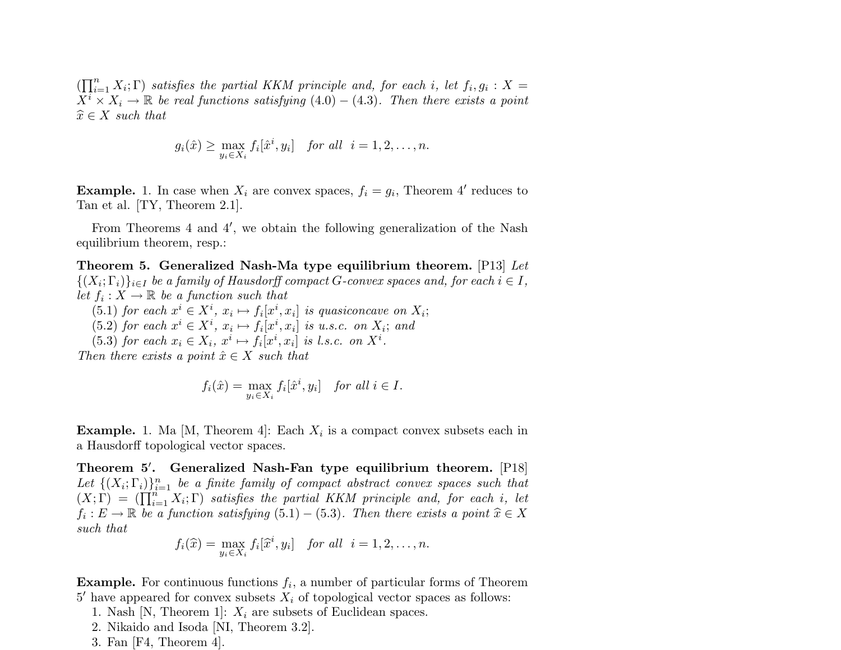$\prod_{i=1}^n$  $_{i=1}^{n} X_{i}$ ;  $\Gamma$ ) satisfies the partial KKM principle and, for each i, let  $f_{i}, g_{i} : X =$  $X^i \times X_i \to \mathbb{R}$  be real functions satisfying (4.0) – (4.3). Then there exists a point  $\widehat{x} \in X$  such that

$$
g_i(\hat{x}) \geq \max_{y_i \in X_i} f_i[\hat{x}^i, y_i] \quad \text{for all} \quad i = 1, 2, \dots, n.
$$

**Example.** 1. In case when  $X_i$  are convex spaces,  $f_i = g_i$ , Theorem 4' reduces to Tan et al. [TY, Theorem 2.1].

From Theorems  $4$  and  $4'$ , we obtain the following generalization of the Nash equilibrium theorem, resp.:

Theorem 5. Generalized Nash-Ma type equilibrium theorem.  $[P13]$  Let  $\{(X_i; \Gamma_i)\}_{i \in I}$  be a family of Hausdorff compact G-convex spaces and, for each  $i \in I$ , let  $f_i: X \to \mathbb{R}$  be a function such that

- (5.1) for each  $x^i \in X^i$ ,  $x_i \mapsto f_i[x^i, x_i]$  is quasiconcave on  $X_i$ ;
- (5.2) for each  $x^i \in X^i$ ,  $x_i \mapsto f_i[x^i, x_i]$  is u.s.c. on  $X_i$ ; and

(5.3) for each  $x_i \in X_i$ ,  $x^i \mapsto f_i[x^i, x_i]$  is l.s.c. on  $X^i$ .

Then there exists a point  $\hat{x} \in X$  such that

$$
f_i(\hat{x}) = \max_{y_i \in X_i} f_i[\hat{x}^i, y_i] \quad \text{for all } i \in I.
$$

**Example.** 1. Ma [M, Theorem 4]: Each  $X_i$  is a compact convex subsets each in a Hausdorff topological vector spaces.

Theorem 5'. Generalized Nash-Fan type equilibrium theorem. [P18] Let  $\{(X_i; \Gamma_i)\}_{i=1}^n$  be a finite family of compact abstract convex spaces such that Let  $\{(X_i; \Gamma_i)\}_{i=1}^{\infty}$  be a finite family of compact abstract convex spaces such that  $(X; \Gamma) = (\prod_{i=1}^n X_i; \Gamma)$  satisfies the partial KKM principle and, for each i, let  $f_i: E \to \mathbb{R}$  be a function satisfying  $(5.1) - (5.3)$ . Then there exists a point  $\widehat{x} \in X$ such that

$$
f_i(\widehat{x}) = \max_{y_i \in X_i} f_i[\widehat{x}^i, y_i] \quad \text{for all} \quad i = 1, 2, \dots, n.
$$

**Example.** For continuous functions  $f_i$ , a number of particular forms of Theorem  $5'$  have appeared for convex subsets  $X_i$  of topological vector spaces as follows:

- 1. Nash [N, Theorem 1]:  $X_i$  are subsets of Euclidean spaces.
- 2. Nikaido and Isoda [NI, Theorem 3.2].
- 3. Fan [F4, Theorem 4].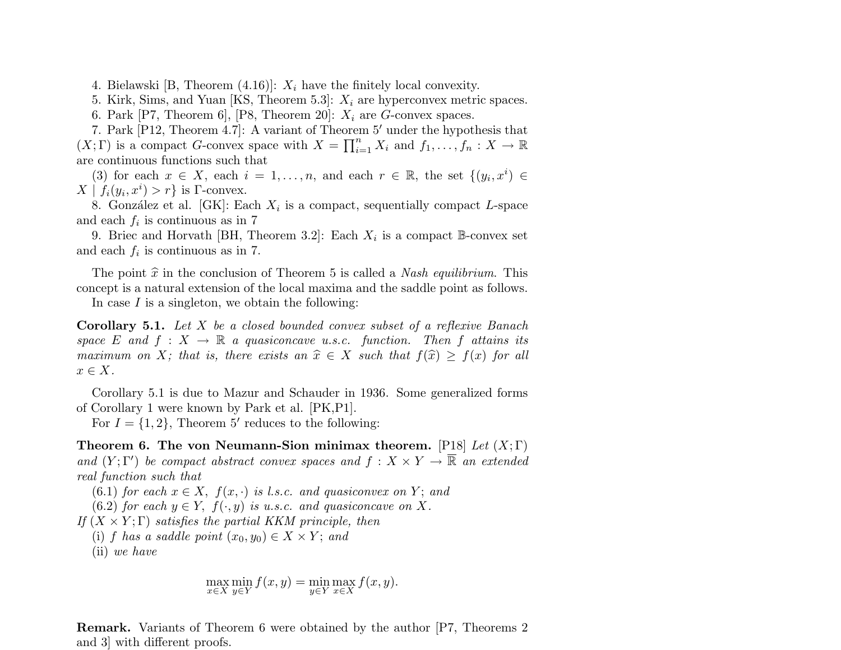4. Bielawski [B, Theorem  $(4.16)$ ]:  $X_i$  have the finitely local convexity.

5. Kirk, Sims, and Yuan [KS, Theorem 5.3]:  $X_i$  are hyperconvex metric spaces.

6. Park [P7, Theorem 6], [P8, Theorem 20]:  $X_i$  are G-convex spaces.

7. Park [P12, Theorem 4.7]: A variant of Theorem 5' under the hypothesis that  $(X; \Gamma)$  is a compact G-convex space with  $X = \prod_{i=1}^{n} X_i$  and  $f_1, \ldots, f_n : X \to \mathbb{R}$ are continuous functions such that

(3) for each  $x \in X$ , each  $i = 1, \ldots, n$ , and each  $r \in \mathbb{R}$ , the set  $\{(y_i, x^i) \in$  $X | f_i(y_i, x^i) > r$  is  $\Gamma$ -convex.

8. González et al. [GK]: Each  $X_i$  is a compact, sequentially compact L-space and each  $f_i$  is continuous as in 7

9. Briec and Horvath [BH, Theorem 3.2]: Each  $X_i$  is a compact B-convex set and each  $f_i$  is continuous as in 7.

The point  $\hat{x}$  in the conclusion of Theorem 5 is called a *Nash equilibrium*. This concept is a natural extension of the local maxima and the saddle point as follows.

In case  $I$  is a singleton, we obtain the following:

Corollary 5.1. Let X be a closed bounded convex subset of a reflexive Banach space E and  $f: X \to \mathbb{R}$  a quasiconcave u.s.c. function. Then f attains its maximum on X; that is, there exists an  $\hat{x} \in X$  such that  $f(\hat{x}) \ge f(x)$  for all  $x \in X$ .

Corollary 5.1 is due to Mazur and Schauder in 1936. Some generalized forms of Corollary 1 were known by Park et al. [PK,P1].

For  $I = \{1, 2\}$ , Theorem 5' reduces to the following:

Theorem 6. The von Neumann-Sion minimax theorem. [P18] Let  $(X; \Gamma)$ and  $(Y; \Gamma')$  be compact abstract convex spaces and  $f: X \times Y \to \overline{\mathbb{R}}$  an extended real function such that

(6.1) for each  $x \in X$ ,  $f(x, \cdot)$  is l.s.c. and quasiconvex on Y; and

(6.2) for each  $y \in Y$ ,  $f(\cdot, y)$  is u.s.c. and quasiconcave on X.

If  $(X \times Y; \Gamma)$  satisfies the partial KKM principle, then

(i) f has a saddle point  $(x_0, y_0) \in X \times Y$ ; and

(ii) we have

$$
\max_{x \in X} \min_{y \in Y} f(x, y) = \min_{y \in Y} \max_{x \in X} f(x, y).
$$

Remark. Variants of Theorem 6 were obtained by the author [P7, Theorems 2 and 3] with different proofs.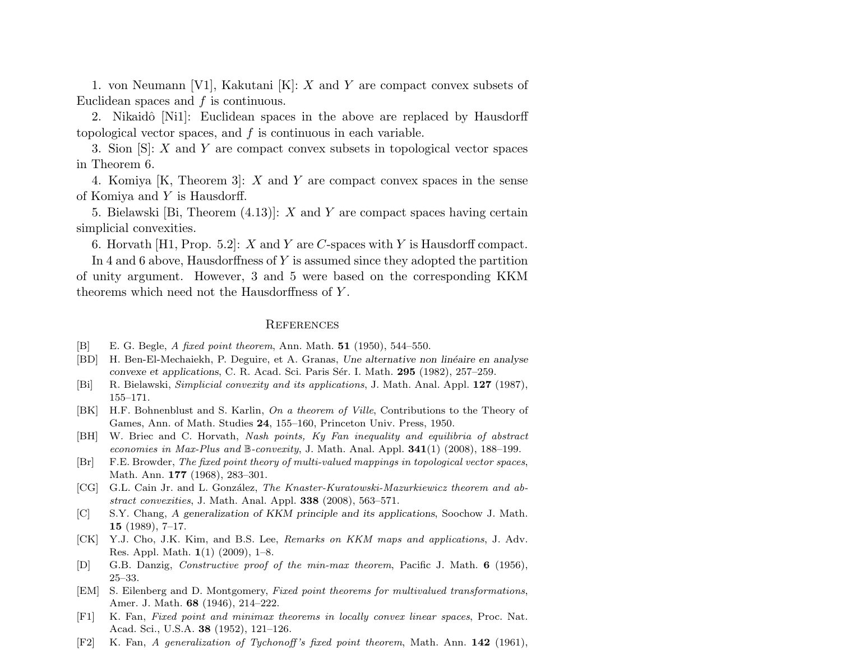1. von Neumann [V1], Kakutani [K]: X and Y are compact convex subsets of Euclidean spaces and  $f$  is continuous.

2. Nikaidô [Ni1]: Euclidean spaces in the above are replaced by Hausdorff topological vector spaces, and  $f$  is continuous in each variable.

3. Sion [S]: X and Y are compact convex subsets in topological vector spaces in Theorem 6.

4. Komiya  $[K,$  Theorem 3:  $X$  and  $Y$  are compact convex spaces in the sense of Komiya and Y is Hausdorff.

5. Bielawski [Bi, Theorem  $(4.13)$ ]: X and Y are compact spaces having certain simplicial convexities.

6. Horvath [H1, Prop. 5.2]:  $X$  and  $Y$  are  $C$ -spaces with  $Y$  is Hausdorff compact.

In 4 and 6 above, Hausdorffness of Y is assumed since they adopted the partition of unity argument. However, 3 and 5 were based on the corresponding KKM theorems which need not the Hausdorffness of Y .

# **REFERENCES**

- [B] E. G. Begle, A fixed point theorem, Ann. Math. 51 (1950), 544–550.
- [BD] H. Ben-El-Mechaiekh, P. Deguire, et A. Granas, Une alternative non linéaire en analyse convexe et applications, C. R. Acad. Sci. Paris S´er. I. Math. 295 (1982), 257–259.
- [Bi] R. Bielawski, Simplicial convexity and its applications, J. Math. Anal. Appl. 127 (1987), 155–171.
- [BK] H.F. Bohnenblust and S. Karlin, On a theorem of Ville, Contributions to the Theory of Games, Ann. of Math. Studies 24, 155–160, Princeton Univ. Press, 1950.
- [BH] W. Briec and C. Horvath, Nash points, Ky Fan inequality and equilibria of abstract economies in Max-Plus and  $\mathbb{B}$ -convexity, J. Math. Anal. Appl. **341**(1) (2008), 188–199.
- [Br] F.E. Browder, The fixed point theory of multi-valued mappings in topological vector spaces, Math. Ann. 177 (1968), 283–301.
- [CG] G.L. Cain Jr. and L. González, The Knaster-Kuratowski-Mazurkiewicz theorem and abstract convexities, J. Math. Anal. Appl. 338 (2008), 563–571.
- [C] S.Y. Chang, A generalization of KKM principle and its applications, Soochow J. Math. 15 (1989), 7–17.
- [CK] Y.J. Cho, J.K. Kim, and B.S. Lee, Remarks on KKM maps and applications, J. Adv. Res. Appl. Math. 1(1) (2009), 1–8.
- [D] G.B. Danzig, Constructive proof of the min-max theorem, Pacific J. Math. 6 (1956), 25–33.
- [EM] S. Eilenberg and D. Montgomery, Fixed point theorems for multivalued transformations, Amer. J. Math. 68 (1946), 214–222.
- [F1] K. Fan, Fixed point and minimax theorems in locally convex linear spaces, Proc. Nat. Acad. Sci., U.S.A. 38 (1952), 121–126.
- [F2] K. Fan, A generalization of Tychonoff's fixed point theorem, Math. Ann. 142 (1961),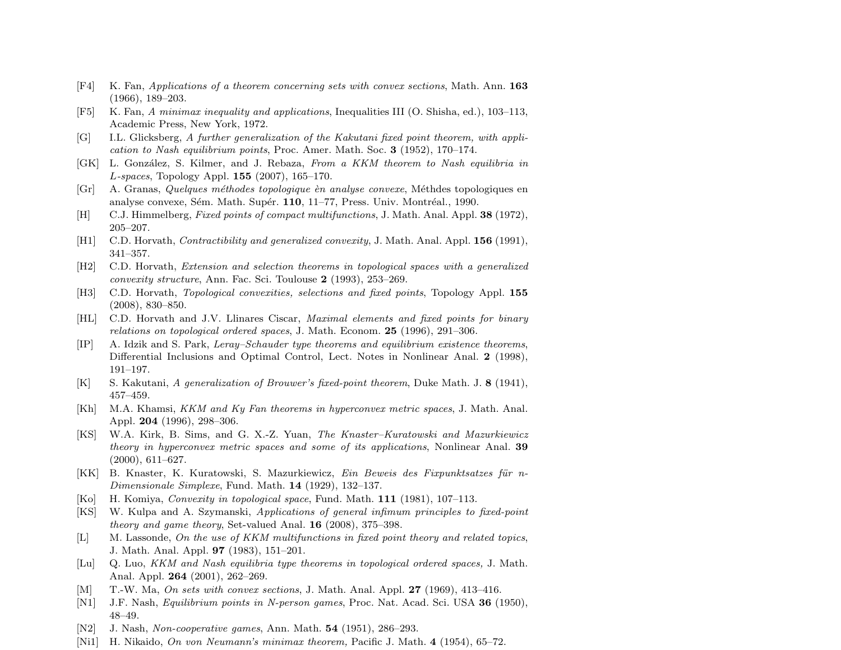- [F4] K. Fan, Applications of a theorem concerning sets with convex sections, Math. Ann. 163 (1966), 189–203.
- [F5] K. Fan, A minimax inequality and applications, Inequalities III (O. Shisha, ed.), 103–113, Academic Press, New York, 1972.
- [G] I.L. Glicksberg, A further generalization of the Kakutani fixed point theorem, with application to Nash equilibrium points, Proc. Amer. Math. Soc. 3 (1952), 170–174.
- [GK] L. González, S. Kilmer, and J. Rebaza, From a KKM theorem to Nash equilibria in L-spaces, Topology Appl. 155 (2007), 165–170.
- [Gr] A. Granas, Quelques méthodes topologique èn analyse convexe, Méthodes topologiques en analyse convexe, Sém. Math. Supér. 110, 11–77, Press. Univ. Montréal., 1990.
- [H] C.J. Himmelberg, Fixed points of compact multifunctions, J. Math. Anal. Appl. 38 (1972), 205–207.
- [H1] C.D. Horvath, *Contractibility and generalized convexity*, J. Math. Anal. Appl. **156** (1991), 341–357.
- [H2] C.D. Horvath, Extension and selection theorems in topological spaces with a generalized convexity structure, Ann. Fac. Sci. Toulouse 2 (1993), 253–269.
- [H3] C.D. Horvath, Topological convexities, selections and fixed points, Topology Appl. 155 (2008), 830–850.
- [HL] C.D. Horvath and J.V. Llinares Ciscar, Maximal elements and fixed points for binary relations on topological ordered spaces, J. Math. Econom. 25 (1996), 291–306.
- [IP] A. Idzik and S. Park, Leray–Schauder type theorems and equilibrium existence theorems, Differential Inclusions and Optimal Control, Lect. Notes in Nonlinear Anal. 2 (1998), 191–197.
- [K] S. Kakutani, A generalization of Brouwer's fixed-point theorem, Duke Math. J. 8 (1941), 457–459.
- [Kh] M.A. Khamsi, KKM and Ky Fan theorems in hyperconvex metric spaces, J. Math. Anal. Appl. 204 (1996), 298–306.
- [KS] W.A. Kirk, B. Sims, and G. X.-Z. Yuan, The Knaster–Kuratowski and Mazurkiewicz theory in hyperconvex metric spaces and some of its applications, Nonlinear Anal. 39 (2000), 611–627.
- [KK] B. Knaster, K. Kuratowski, S. Mazurkiewicz, Ein Beweis des Fixpunktsatzes für n-Dimensionale Simplexe, Fund. Math. 14 (1929), 132–137.
- [Ko] H. Komiya, Convexity in topological space, Fund. Math. 111 (1981), 107–113.
- [KS] W. Kulpa and A. Szymanski, Applications of general infimum principles to fixed-point theory and game theory, Set-valued Anal. 16 (2008), 375–398.
- [L] M. Lassonde, On the use of KKM multifunctions in fixed point theory and related topics, J. Math. Anal. Appl. 97 (1983), 151–201.
- [Lu] Q. Luo, KKM and Nash equilibria type theorems in topological ordered spaces, J. Math. Anal. Appl. 264 (2001), 262–269.
- [M] T.-W. Ma, On sets with convex sections, J. Math. Anal. Appl. 27 (1969), 413–416.
- [N1] J.F. Nash, *Equilibrium points in N-person games*, Proc. Nat. Acad. Sci. USA 36 (1950), 48–49.
- [N2] J. Nash, Non-cooperative games, Ann. Math. 54 (1951), 286–293.
- [Ni1] H. Nikaido, On von Neumann's minimax theorem, Pacific J. Math. 4 (1954), 65–72.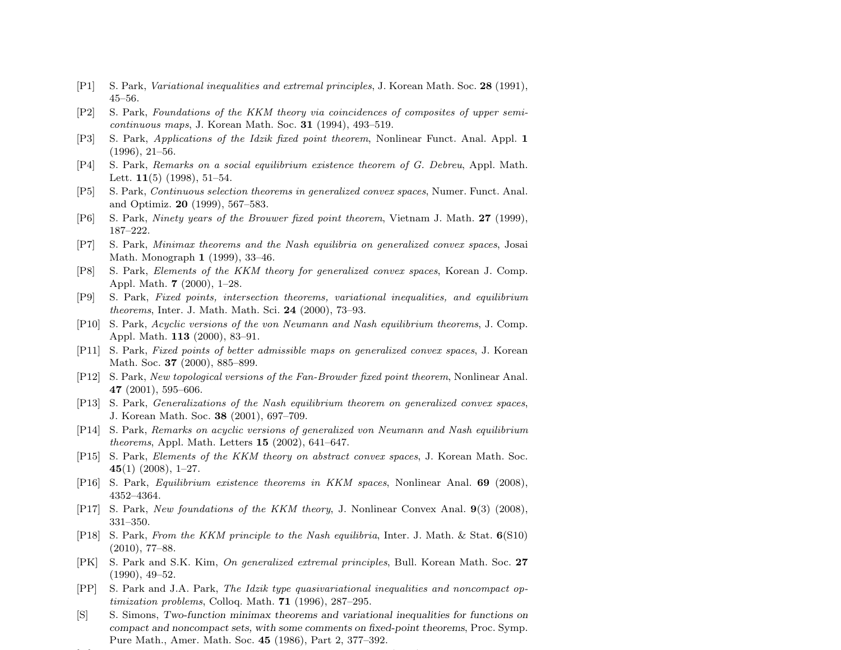- [P1] S. Park, Variational inequalities and extremal principles, J. Korean Math. Soc. 28 (1991), 45–56.
- [P2] S. Park, Foundations of the KKM theory via coincidences of composites of upper semicontinuous maps, J. Korean Math. Soc. 31 (1994), 493–519.
- [P3] S. Park, Applications of the Idzik fixed point theorem, Nonlinear Funct. Anal. Appl. 1 (1996), 21–56.
- [P4] S. Park, Remarks on a social equilibrium existence theorem of G. Debreu, Appl. Math. Lett.  $11(5)$  (1998), 51-54.
- [P5] S. Park, Continuous selection theorems in generalized convex spaces, Numer. Funct. Anal. and Optimiz. 20 (1999), 567–583.
- [P6] S. Park, Ninety years of the Brouwer fixed point theorem, Vietnam J. Math. 27 (1999), 187–222.
- [P7] S. Park, Minimax theorems and the Nash equilibria on generalized convex spaces, Josai Math. Monograph 1 (1999), 33–46.
- [P8] S. Park, Elements of the KKM theory for generalized convex spaces, Korean J. Comp. Appl. Math. 7 (2000), 1–28.
- [P9] S. Park, Fixed points, intersection theorems, variational inequalities, and equilibrium theorems, Inter. J. Math. Math. Sci. 24 (2000), 73–93.
- [P10] S. Park, Acyclic versions of the von Neumann and Nash equilibrium theorems, J. Comp. Appl. Math. 113 (2000), 83–91.
- [P11] S. Park, Fixed points of better admissible maps on generalized convex spaces, J. Korean Math. Soc. **37** (2000), 885–899.
- [P12] S. Park, New topological versions of the Fan-Browder fixed point theorem, Nonlinear Anal. 47 (2001), 595–606.
- [P13] S. Park, Generalizations of the Nash equilibrium theorem on generalized convex spaces, J. Korean Math. Soc. 38 (2001), 697–709.
- [P14] S. Park, Remarks on acyclic versions of generalized von Neumann and Nash equilibrium theorems, Appl. Math. Letters 15 (2002), 641–647.
- [P15] S. Park, Elements of the KKM theory on abstract convex spaces, J. Korean Math. Soc. 45(1) (2008),  $1-27$ .
- [P16] S. Park, Equilibrium existence theorems in KKM spaces, Nonlinear Anal. 69 (2008), 4352–4364.
- [P17] S. Park, New foundations of the KKM theory, J. Nonlinear Convex Anal. 9(3) (2008), 331–350.
- [P18] S. Park, From the KKM principle to the Nash equilibria, Inter. J. Math. & Stat. 6(S10) (2010), 77–88.
- [PK] S. Park and S.K. Kim, On generalized extremal principles, Bull. Korean Math. Soc. 27 (1990), 49–52.
- [PP] S. Park and J.A. Park, The Idzik type quasivariational inequalities and noncompact op- $$
- [S] S. Simons, Two-function minimax theorems and variational inequalities for functions on compact and noncompact sets, with some comments on fixed-point theorems, Proc. Symp. Pure Math., Amer. Math. Soc. 45 (1986), Part 2, 377–392.